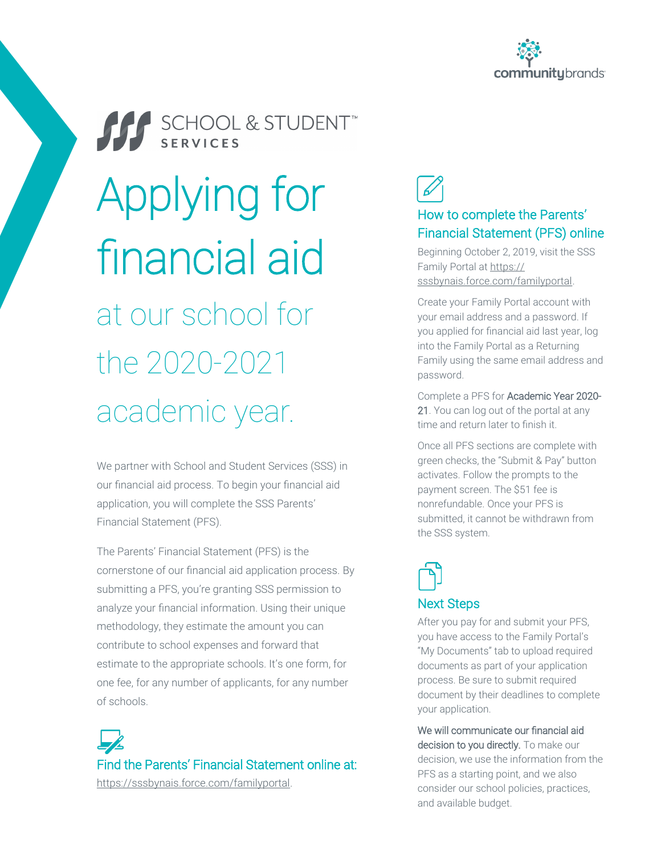



We partner with School and Student Services (SSS) in our financial aid process. To begin your financial aid application, you will complete the SSS Parents' Financial Statement (PFS).

The Parents' Financial Statement (PFS) is the cornerstone of our financial aid application process. By submitting a PFS, you're granting SSS permission to analyze your financial information. Using their unique methodology, they estimate the amount you can contribute to school expenses and forward that estimate to the appropriate schools. It's one form, for one fee, for any number of applicants, for any number of schools.

Find the Parents' Financial Statement online at: [https://sssbynais.force.com/familyportal.](https://sssbynais.force.com/familyportal)

### How to complete the Parents' Financial Statement (PFS) online

Beginning October 2, 2019, visit the SSS Family Portal at [https://](https://sssbynais.force.com/familyportal) [sssbynais.force.com/familyportal.](https://sssbynais.force.com/familyportal) 

Create your Family Portal account with your email address and a password. If you applied for financial aid last year, log into the Family Portal as a Returning Family using the same email address and password.

Complete a PFS for Academic Year 2020- 21. You can log out of the portal at any time and return later to finish it.

Once all PFS sections are complete with green checks, the "Submit & Pay" button activates. Follow the prompts to the payment screen. The \$51 fee is nonrefundable. Once your PFS is submitted, it cannot be withdrawn from the SSS system.

# Next Steps

After you pay for and submit your PFS, you have access to the Family Portal's "My Documents" tab to upload required documents as part of your application process. Be sure to submit required document by their deadlines to complete your application.

We will communicate our financial aid decision to you directly. To make our decision, we use the information from the PFS as a starting point, and we also consider our school policies, practices, and available budget.